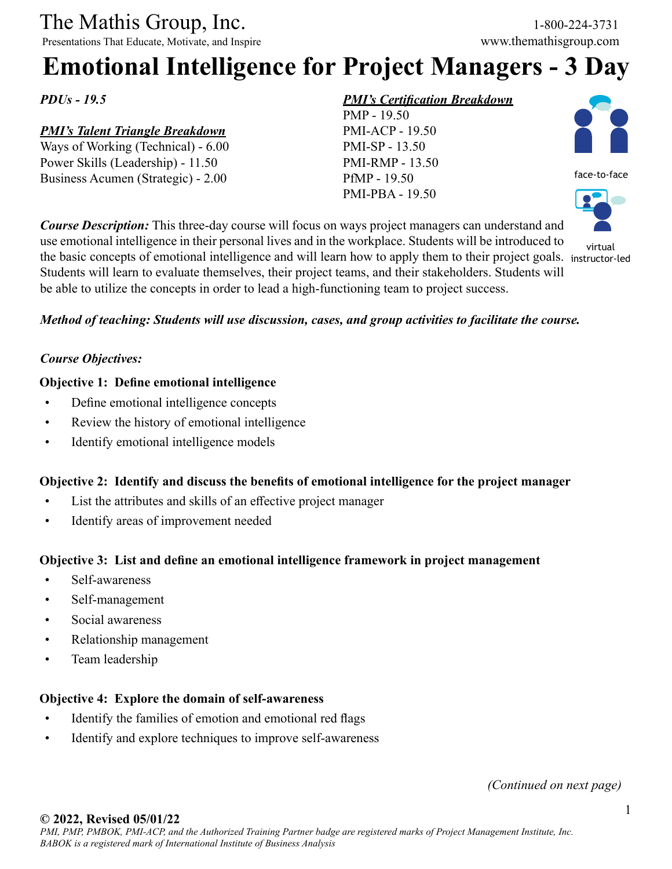# The Mathis Group, Inc. 1-800-224-3731<br>
Presentations That Educate, Motivate, and Inspire www.themathisgroup.com

Presentations That Educate, Motivate, and Inspire

## **Emotional Intelligence for Project Managers - 3 Day**

*PDUs - 19.5*

#### *PMI's Talent Triangle Breakdown*

Ways of Working (Technical) - 6.00 Power Skills (Leadership) - 11.50 Business Acumen (Strategic) - 2.00

#### *PMI's Certification Breakdown*





virtual

*Course Description:* This three-day course will focus on ways project managers can understand and use emotional intelligence in their personal lives and in the workplace. Students will be introduced to the basic concepts of emotional intelligence and will learn how to apply them to their project goals. instructor-ledStudents will learn to evaluate themselves, their project teams, and their stakeholders. Students will be able to utilize the concepts in order to lead a high-functioning team to project success.

#### *Method of teaching: Students will use discussion, cases, and group activities to facilitate the course.*

#### *Course Objectives:*

#### **Objective 1: Define emotional intelligence**

- • Define emotional intelligence concepts
- Review the history of emotional intelligence
- Identify emotional intelligence models

#### **Objective 2: Identify and discuss the benefits of emotional intelligence for the project manager**

- List the attributes and skills of an effective project manager
- • Identify areas of improvement needed

#### **Objective 3: List and define an emotional intelligence framework in project management**

- Self-awareness
- Self-management
- Social awareness
- • Relationship management
- Team leadership

#### **Objective 4: Explore the domain of self-awareness**

- Identify the families of emotion and emotional red flags
- Identify and explore techniques to improve self-awareness

*(Continued on next page)*

#### **© 2022, Revised 05/01/22**